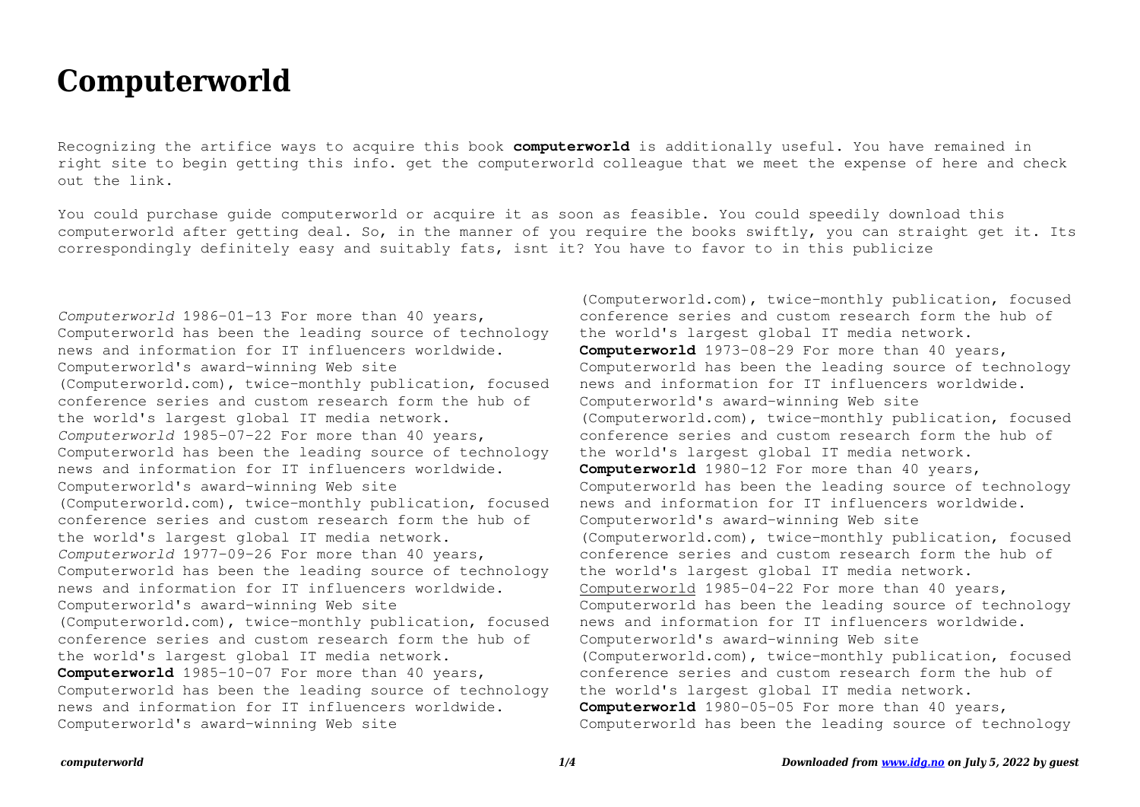## **Computerworld**

Recognizing the artifice ways to acquire this book **computerworld** is additionally useful. You have remained in right site to begin getting this info. get the computerworld colleague that we meet the expense of here and check out the link.

You could purchase guide computerworld or acquire it as soon as feasible. You could speedily download this computerworld after getting deal. So, in the manner of you require the books swiftly, you can straight get it. Its correspondingly definitely easy and suitably fats, isnt it? You have to favor to in this publicize

*Computerworld* 1986-01-13 For more than 40 years, Computerworld has been the leading source of technology news and information for IT influencers worldwide. Computerworld's award-winning Web site (Computerworld.com), twice-monthly publication, focused conference series and custom research form the hub of the world's largest global IT media network. *Computerworld* 1985-07-22 For more than 40 years, Computerworld has been the leading source of technology news and information for IT influencers worldwide. Computerworld's award-winning Web site (Computerworld.com), twice-monthly publication, focused conference series and custom research form the hub of the world's largest global IT media network. *Computerworld* 1977-09-26 For more than 40 years, Computerworld has been the leading source of technology news and information for IT influencers worldwide. Computerworld's award-winning Web site (Computerworld.com), twice-monthly publication, focused conference series and custom research form the hub of the world's largest global IT media network. **Computerworld** 1985-10-07 For more than 40 years, Computerworld has been the leading source of technology news and information for IT influencers worldwide. Computerworld's award-winning Web site

(Computerworld.com), twice-monthly publication, focused conference series and custom research form the hub of the world's largest global IT media network. **Computerworld** 1973-08-29 For more than 40 years, Computerworld has been the leading source of technology news and information for IT influencers worldwide. Computerworld's award-winning Web site (Computerworld.com), twice-monthly publication, focused conference series and custom research form the hub of the world's largest global IT media network. **Computerworld** 1980-12 For more than 40 years, Computerworld has been the leading source of technology news and information for IT influencers worldwide. Computerworld's award-winning Web site (Computerworld.com), twice-monthly publication, focused conference series and custom research form the hub of the world's largest global IT media network. Computerworld 1985-04-22 For more than 40 years, Computerworld has been the leading source of technology news and information for IT influencers worldwide. Computerworld's award-winning Web site (Computerworld.com), twice-monthly publication, focused conference series and custom research form the hub of the world's largest global IT media network. **Computerworld** 1980-05-05 For more than 40 years, Computerworld has been the leading source of technology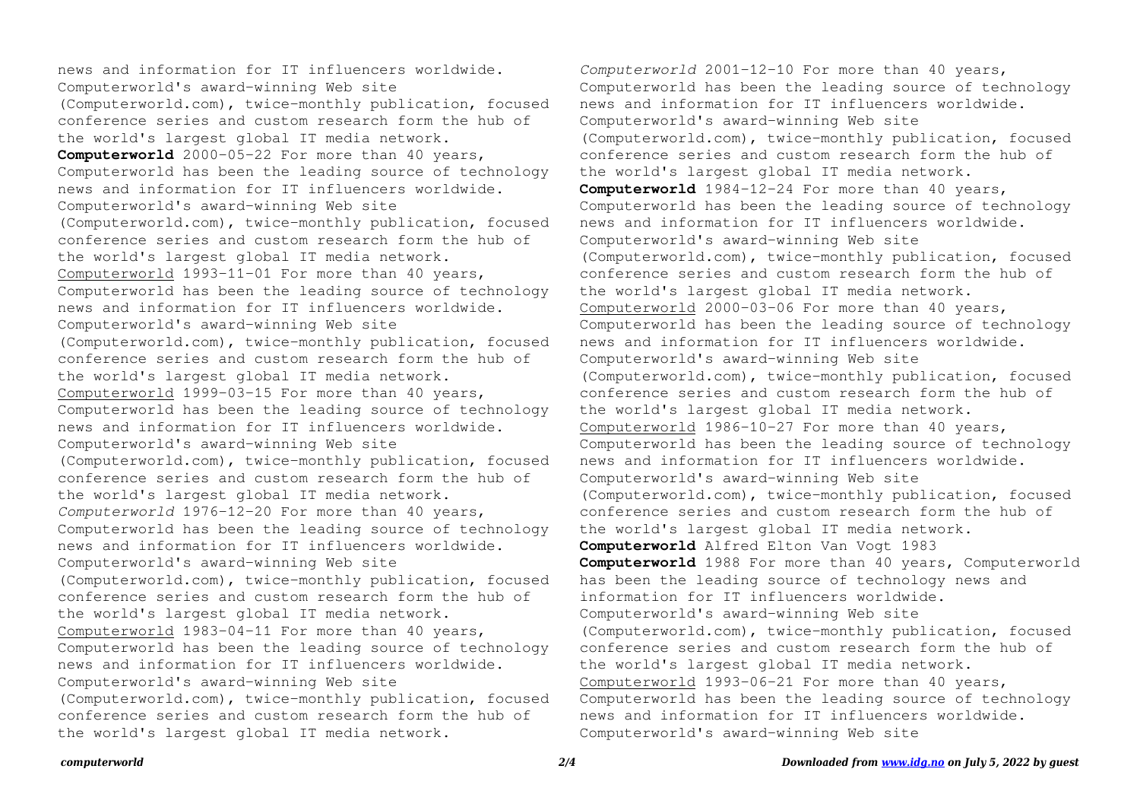news and information for IT influencers worldwide. Computerworld's award-winning Web site (Computerworld.com), twice-monthly publication, focused conference series and custom research form the hub of the world's largest global IT media network. **Computerworld** 2000-05-22 For more than 40 years, Computerworld has been the leading source of technology news and information for IT influencers worldwide. Computerworld's award-winning Web site (Computerworld.com), twice-monthly publication, focused conference series and custom research form the hub of the world's largest global IT media network. Computerworld 1993-11-01 For more than 40 years, Computerworld has been the leading source of technology news and information for IT influencers worldwide. Computerworld's award-winning Web site (Computerworld.com), twice-monthly publication, focused conference series and custom research form the hub of the world's largest global IT media network. Computerworld 1999-03-15 For more than 40 years, Computerworld has been the leading source of technology news and information for IT influencers worldwide. Computerworld's award-winning Web site (Computerworld.com), twice-monthly publication, focused conference series and custom research form the hub of the world's largest global IT media network. *Computerworld* 1976-12-20 For more than 40 years, Computerworld has been the leading source of technology news and information for IT influencers worldwide. Computerworld's award-winning Web site (Computerworld.com), twice-monthly publication, focused conference series and custom research form the hub of the world's largest global IT media network. Computerworld 1983-04-11 For more than 40 years, Computerworld has been the leading source of technology news and information for IT influencers worldwide. Computerworld's award-winning Web site (Computerworld.com), twice-monthly publication, focused conference series and custom research form the hub of the world's largest global IT media network.

*Computerworld* 2001-12-10 For more than 40 years, Computerworld has been the leading source of technology news and information for IT influencers worldwide. Computerworld's award-winning Web site (Computerworld.com), twice-monthly publication, focused conference series and custom research form the hub of the world's largest global IT media network. **Computerworld** 1984-12-24 For more than 40 years, Computerworld has been the leading source of technology news and information for IT influencers worldwide. Computerworld's award-winning Web site (Computerworld.com), twice-monthly publication, focused conference series and custom research form the hub of the world's largest global IT media network. Computerworld 2000-03-06 For more than 40 years, Computerworld has been the leading source of technology news and information for IT influencers worldwide. Computerworld's award-winning Web site (Computerworld.com), twice-monthly publication, focused conference series and custom research form the hub of the world's largest global IT media network. Computerworld 1986-10-27 For more than 40 years, Computerworld has been the leading source of technology news and information for IT influencers worldwide. Computerworld's award-winning Web site (Computerworld.com), twice-monthly publication, focused conference series and custom research form the hub of the world's largest global IT media network. **Computerworld** Alfred Elton Van Vogt 1983 **Computerworld** 1988 For more than 40 years, Computerworld has been the leading source of technology news and information for IT influencers worldwide. Computerworld's award-winning Web site (Computerworld.com), twice-monthly publication, focused conference series and custom research form the hub of the world's largest global IT media network. Computerworld 1993-06-21 For more than 40 years, Computerworld has been the leading source of technology news and information for IT influencers worldwide. Computerworld's award-winning Web site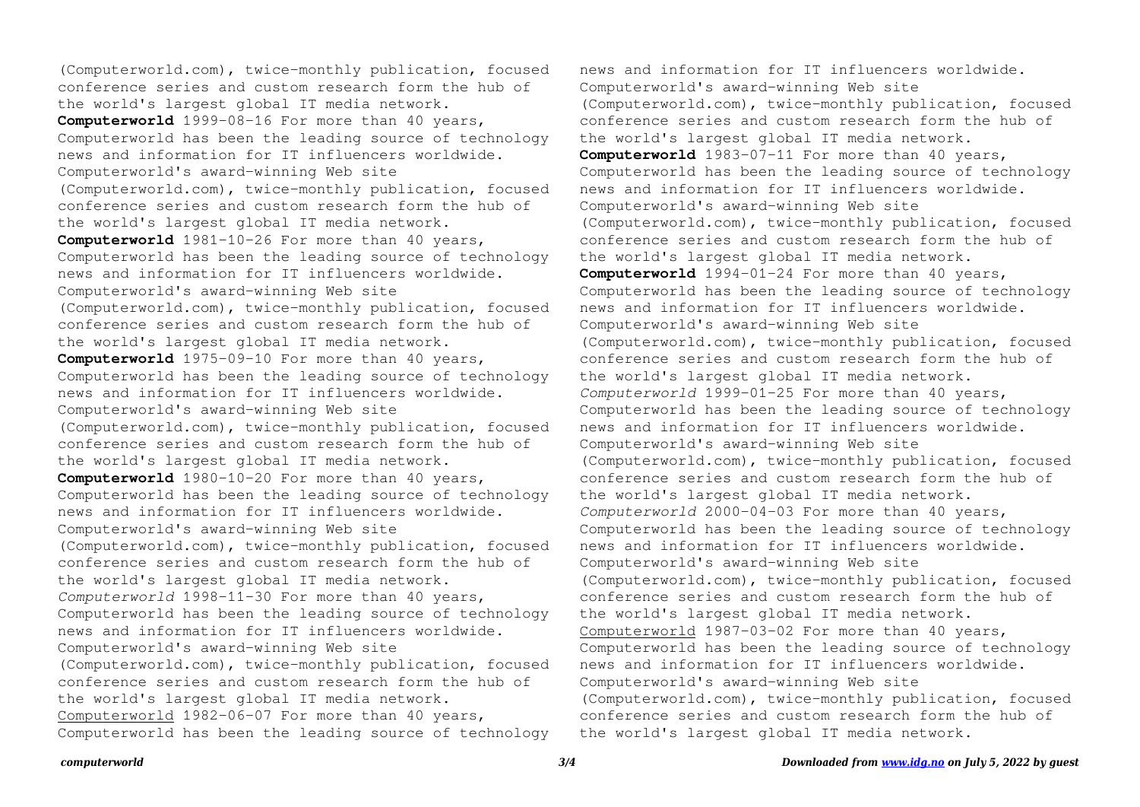(Computerworld.com), twice-monthly publication, focused conference series and custom research form the hub of the world's largest global IT media network. **Computerworld** 1999-08-16 For more than 40 years, Computerworld has been the leading source of technology news and information for IT influencers worldwide. Computerworld's award-winning Web site (Computerworld.com), twice-monthly publication, focused conference series and custom research form the hub of the world's largest global IT media network. **Computerworld** 1981-10-26 For more than 40 years, Computerworld has been the leading source of technology news and information for IT influencers worldwide. Computerworld's award-winning Web site (Computerworld.com), twice-monthly publication, focused conference series and custom research form the hub of the world's largest global IT media network. **Computerworld** 1975-09-10 For more than 40 years, Computerworld has been the leading source of technology news and information for IT influencers worldwide. Computerworld's award-winning Web site (Computerworld.com), twice-monthly publication, focused conference series and custom research form the hub of the world's largest global IT media network. **Computerworld** 1980-10-20 For more than 40 years, Computerworld has been the leading source of technology news and information for IT influencers worldwide. Computerworld's award-winning Web site (Computerworld.com), twice-monthly publication, focused conference series and custom research form the hub of the world's largest global IT media network. *Computerworld* 1998-11-30 For more than 40 years, Computerworld has been the leading source of technology news and information for IT influencers worldwide. Computerworld's award-winning Web site (Computerworld.com), twice-monthly publication, focused conference series and custom research form the hub of the world's largest global IT media network. Computerworld 1982-06-07 For more than 40 years, Computerworld has been the leading source of technology

news and information for IT influencers worldwide. Computerworld's award-winning Web site (Computerworld.com), twice-monthly publication, focused conference series and custom research form the hub of the world's largest global IT media network. **Computerworld** 1983-07-11 For more than 40 years, Computerworld has been the leading source of technology news and information for IT influencers worldwide. Computerworld's award-winning Web site (Computerworld.com), twice-monthly publication, focused conference series and custom research form the hub of the world's largest global IT media network. **Computerworld** 1994-01-24 For more than 40 years, Computerworld has been the leading source of technology news and information for IT influencers worldwide. Computerworld's award-winning Web site (Computerworld.com), twice-monthly publication, focused conference series and custom research form the hub of the world's largest global IT media network. *Computerworld* 1999-01-25 For more than 40 years, Computerworld has been the leading source of technology news and information for IT influencers worldwide. Computerworld's award-winning Web site (Computerworld.com), twice-monthly publication, focused conference series and custom research form the hub of the world's largest global IT media network. *Computerworld* 2000-04-03 For more than 40 years, Computerworld has been the leading source of technology news and information for IT influencers worldwide. Computerworld's award-winning Web site (Computerworld.com), twice-monthly publication, focused conference series and custom research form the hub of the world's largest global IT media network. Computerworld 1987-03-02 For more than 40 years, Computerworld has been the leading source of technology news and information for IT influencers worldwide. Computerworld's award-winning Web site (Computerworld.com), twice-monthly publication, focused conference series and custom research form the hub of the world's largest global IT media network.